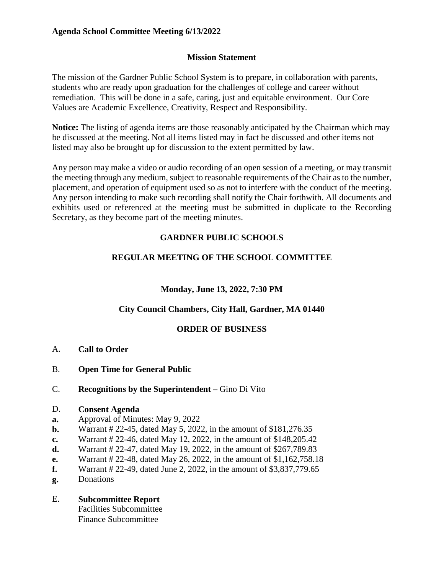## **Agenda School Committee Meeting 6/13/2022**

#### **Mission Statement**

The mission of the Gardner Public School System is to prepare, in collaboration with parents, students who are ready upon graduation for the challenges of college and career without remediation. This will be done in a safe, caring, just and equitable environment. Our Core Values are Academic Excellence, Creativity, Respect and Responsibility.

**Notice:** The listing of agenda items are those reasonably anticipated by the Chairman which may be discussed at the meeting. Not all items listed may in fact be discussed and other items not listed may also be brought up for discussion to the extent permitted by law.

Any person may make a video or audio recording of an open session of a meeting, or may transmit the meeting through any medium, subject to reasonable requirements of the Chair as to the number, placement, and operation of equipment used so as not to interfere with the conduct of the meeting. Any person intending to make such recording shall notify the Chair forthwith. All documents and exhibits used or referenced at the meeting must be submitted in duplicate to the Recording Secretary, as they become part of the meeting minutes.

# **GARDNER PUBLIC SCHOOLS**

# **REGULAR MEETING OF THE SCHOOL COMMITTEE**

## **Monday, June 13, 2022, 7:30 PM**

## **City Council Chambers, City Hall, Gardner, MA 01440**

## **ORDER OF BUSINESS**

- A. **Call to Order**
- B. **Open Time for General Public**
- C. **Recognitions by the Superintendent –** Gino Di Vito
- D. **Consent Agenda**
- **a.** Approval of Minutes: May 9, 2022
- **b.** Warrant # 22-45, dated May 5, 2022, in the amount of \$181,276.35
- **c.** Warrant # 22-46, dated May 12, 2022, in the amount of \$148,205.42
- **d.** Warrant # 22-47, dated May 19, 2022, in the amount of \$267,789.83
- **e.** Warrant # 22-48, dated May 26, 2022, in the amount of \$1,162,758.18
- **f.** Warrant # 22-49, dated June 2, 2022, in the amount of \$3,837,779.65
- **g.** Donations

# E. **Subcommittee Report**

 Facilities Subcommittee Finance Subcommittee